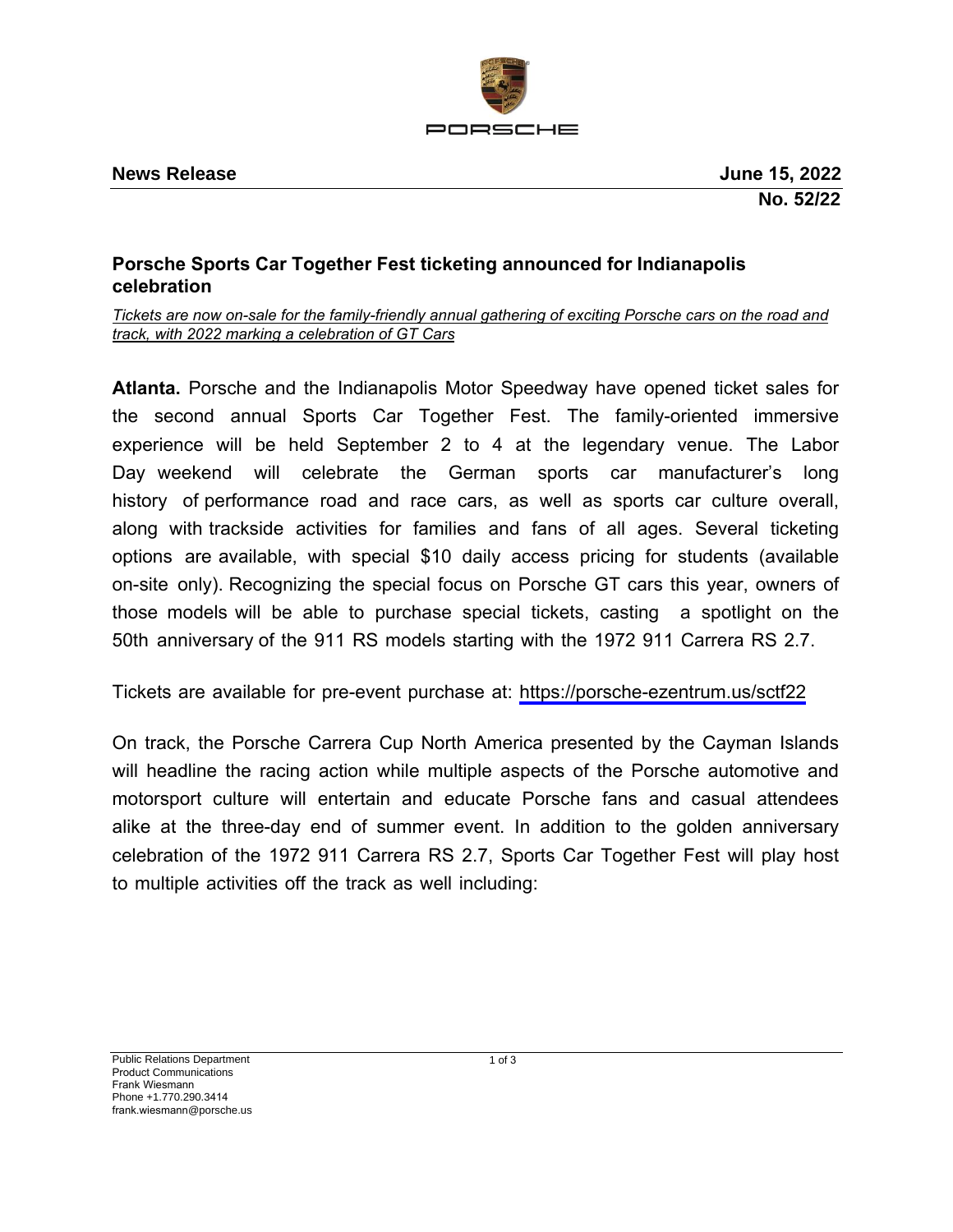

## **Porsche Sports Car Together Fest ticketing announced for Indianapolis celebration**

*Tickets are now on-sale for the family-friendly annual gathering of exciting Porsche cars on the road and track, with 2022 marking a celebration of GT Cars*

**Atlanta.** Porsche and the Indianapolis Motor Speedway have opened ticket sales for the second annual Sports Car Together Fest. The family-oriented immersive experience will be held September 2 to 4 at the legendary venue. The Labor Day weekend will celebrate the German sports car manufacturer's long history of performance road and race cars, as well as sports car culture overall, along with trackside activities for families and fans of all ages. Several ticketing options are available, with special \$10 daily access pricing for students (available on-site only). Recognizing the special focus on Porsche GT cars this year, owners of those models will be able to purchase special tickets, casting a spotlight on the 50th anniversary of the 911 RS models starting with the 1972 911 Carrera RS 2.7.

Tickets are available for pre-event purchase at: <https://porsche-ezentrum.us/sctf22>

On track, the Porsche Carrera Cup North America presented by the Cayman Islands will headline the racing action while multiple aspects of the Porsche automotive and motorsport culture will entertain and educate Porsche fans and casual attendees alike at the three-day end of summer event. In addition to the golden anniversary celebration of the 1972 911 Carrera RS 2.7, Sports Car Together Fest will play host to multiple activities off the track as well including: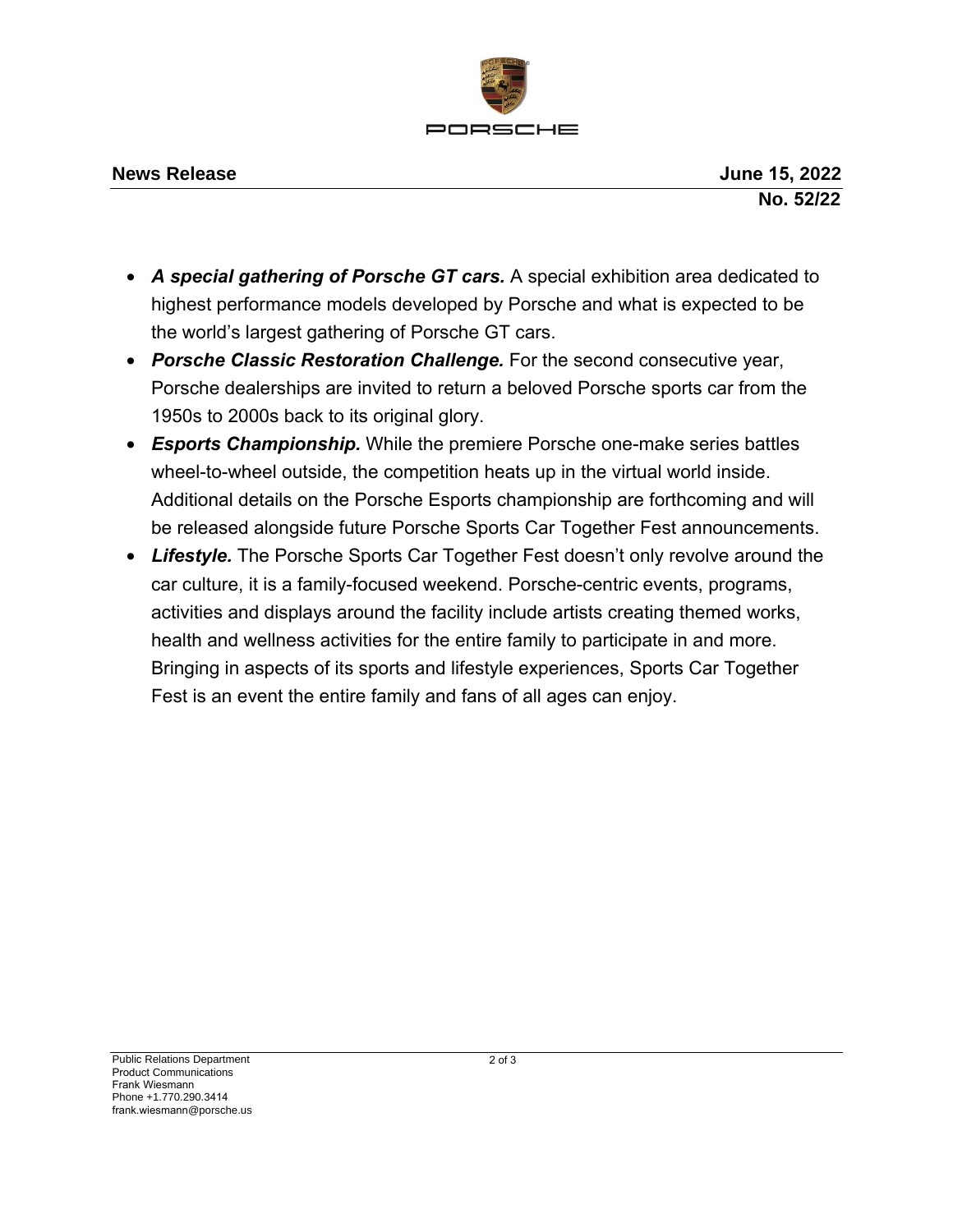

- *A special gathering of Porsche GT cars.* A special exhibition area dedicated to highest performance models developed by Porsche and what is expected to be the world's largest gathering of Porsche GT cars.
- *Porsche Classic Restoration Challenge.* For the second consecutive year, Porsche dealerships are invited to return a beloved Porsche sports car from the 1950s to 2000s back to its original glory.
- *Esports Championship.* While the premiere Porsche one-make series battles wheel-to-wheel outside, the competition heats up in the virtual world inside. Additional details on the Porsche Esports championship are forthcoming and will be released alongside future Porsche Sports Car Together Fest announcements.
- Lifestyle. The Porsche Sports Car Together Fest doesn't only revolve around the car culture, it is a family-focused weekend. Porsche-centric events, programs, activities and displays around the facility include artists creating themed works, health and wellness activities for the entire family to participate in and more. Bringing in aspects of its sports and lifestyle experiences, Sports Car Together Fest is an event the entire family and fans of all ages can enjoy.